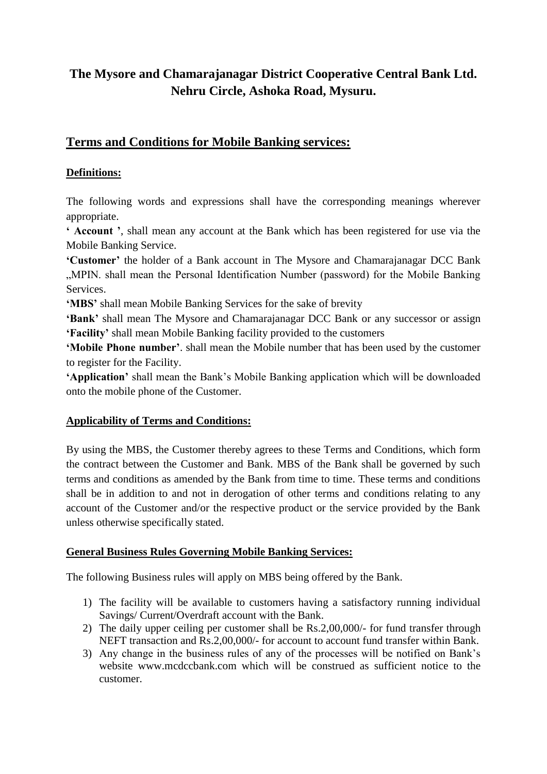# **The Mysore and Chamarajanagar District Cooperative Central Bank Ltd. Nehru Circle, Ashoka Road, Mysuru.**

## **Terms and Conditions for Mobile Banking services:**

### **Definitions:**

The following words and expressions shall have the corresponding meanings wherever appropriate.

**' Account '**, shall mean any account at the Bank which has been registered for use via the Mobile Banking Service.

**'Customer'** the holder of a Bank account in The Mysore and Chamarajanagar DCC Bank "MPIN. shall mean the Personal Identification Number (password) for the Mobile Banking **Services** 

**'MBS'** shall mean Mobile Banking Services for the sake of brevity

**'Bank'** shall mean The Mysore and Chamarajanagar DCC Bank or any successor or assign **'Facility'** shall mean Mobile Banking facility provided to the customers

**'Mobile Phone number'**. shall mean the Mobile number that has been used by the customer to register for the Facility.

**'Application'** shall mean the Bank's Mobile Banking application which will be downloaded onto the mobile phone of the Customer.

#### **Applicability of Terms and Conditions:**

By using the MBS, the Customer thereby agrees to these Terms and Conditions, which form the contract between the Customer and Bank. MBS of the Bank shall be governed by such terms and conditions as amended by the Bank from time to time. These terms and conditions shall be in addition to and not in derogation of other terms and conditions relating to any account of the Customer and/or the respective product or the service provided by the Bank unless otherwise specifically stated.

## **General Business Rules Governing Mobile Banking Services:**

The following Business rules will apply on MBS being offered by the Bank.

- 1) The facility will be available to customers having a satisfactory running individual Savings/ Current/Overdraft account with the Bank.
- 2) The daily upper ceiling per customer shall be Rs.2,00,000/- for fund transfer through NEFT transaction and Rs.2,00,000/- for account to account fund transfer within Bank.
- 3) Any change in the business rules of any of the processes will be notified on Bank's website www.mcdccbank.com which will be construed as sufficient notice to the customer.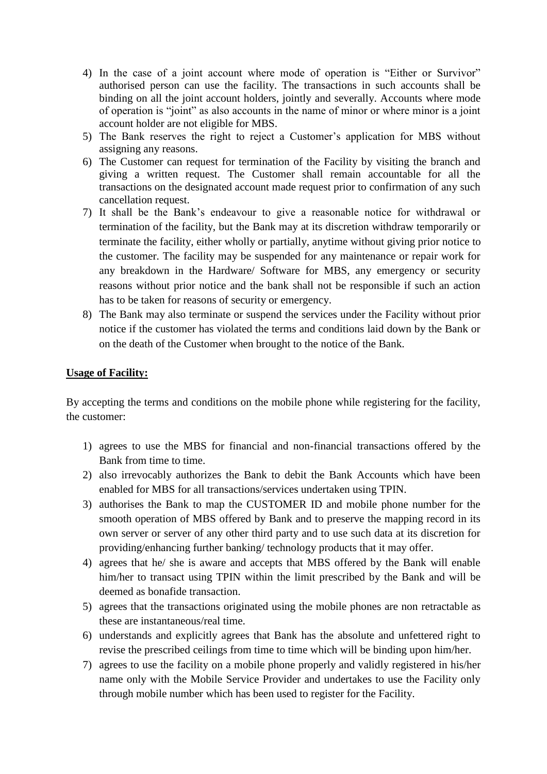- 4) In the case of a joint account where mode of operation is "Either or Survivor" authorised person can use the facility. The transactions in such accounts shall be binding on all the joint account holders, jointly and severally. Accounts where mode of operation is "joint" as also accounts in the name of minor or where minor is a joint account holder are not eligible for MBS.
- 5) The Bank reserves the right to reject a Customer's application for MBS without assigning any reasons.
- 6) The Customer can request for termination of the Facility by visiting the branch and giving a written request. The Customer shall remain accountable for all the transactions on the designated account made request prior to confirmation of any such cancellation request.
- 7) It shall be the Bank's endeavour to give a reasonable notice for withdrawal or termination of the facility, but the Bank may at its discretion withdraw temporarily or terminate the facility, either wholly or partially, anytime without giving prior notice to the customer. The facility may be suspended for any maintenance or repair work for any breakdown in the Hardware/ Software for MBS, any emergency or security reasons without prior notice and the bank shall not be responsible if such an action has to be taken for reasons of security or emergency.
- 8) The Bank may also terminate or suspend the services under the Facility without prior notice if the customer has violated the terms and conditions laid down by the Bank or on the death of the Customer when brought to the notice of the Bank.

#### **Usage of Facility:**

By accepting the terms and conditions on the mobile phone while registering for the facility, the customer:

- 1) agrees to use the MBS for financial and non-financial transactions offered by the Bank from time to time.
- 2) also irrevocably authorizes the Bank to debit the Bank Accounts which have been enabled for MBS for all transactions/services undertaken using TPIN.
- 3) authorises the Bank to map the CUSTOMER ID and mobile phone number for the smooth operation of MBS offered by Bank and to preserve the mapping record in its own server or server of any other third party and to use such data at its discretion for providing/enhancing further banking/ technology products that it may offer.
- 4) agrees that he/ she is aware and accepts that MBS offered by the Bank will enable him/her to transact using TPIN within the limit prescribed by the Bank and will be deemed as bonafide transaction.
- 5) agrees that the transactions originated using the mobile phones are non retractable as these are instantaneous/real time.
- 6) understands and explicitly agrees that Bank has the absolute and unfettered right to revise the prescribed ceilings from time to time which will be binding upon him/her.
- 7) agrees to use the facility on a mobile phone properly and validly registered in his/her name only with the Mobile Service Provider and undertakes to use the Facility only through mobile number which has been used to register for the Facility.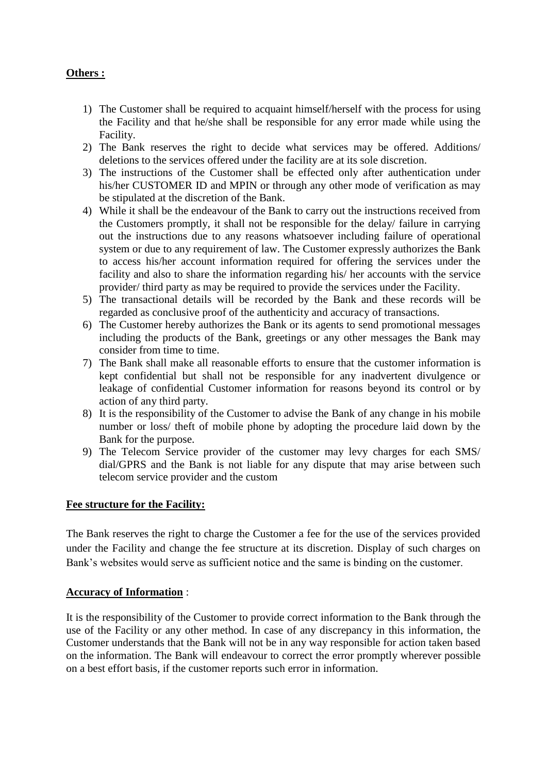### **Others :**

- 1) The Customer shall be required to acquaint himself/herself with the process for using the Facility and that he/she shall be responsible for any error made while using the Facility.
- 2) The Bank reserves the right to decide what services may be offered. Additions/ deletions to the services offered under the facility are at its sole discretion.
- 3) The instructions of the Customer shall be effected only after authentication under his/her CUSTOMER ID and MPIN or through any other mode of verification as may be stipulated at the discretion of the Bank.
- 4) While it shall be the endeavour of the Bank to carry out the instructions received from the Customers promptly, it shall not be responsible for the delay/ failure in carrying out the instructions due to any reasons whatsoever including failure of operational system or due to any requirement of law. The Customer expressly authorizes the Bank to access his/her account information required for offering the services under the facility and also to share the information regarding his/ her accounts with the service provider/ third party as may be required to provide the services under the Facility.
- 5) The transactional details will be recorded by the Bank and these records will be regarded as conclusive proof of the authenticity and accuracy of transactions.
- 6) The Customer hereby authorizes the Bank or its agents to send promotional messages including the products of the Bank, greetings or any other messages the Bank may consider from time to time.
- 7) The Bank shall make all reasonable efforts to ensure that the customer information is kept confidential but shall not be responsible for any inadvertent divulgence or leakage of confidential Customer information for reasons beyond its control or by action of any third party.
- 8) It is the responsibility of the Customer to advise the Bank of any change in his mobile number or loss/ theft of mobile phone by adopting the procedure laid down by the Bank for the purpose.
- 9) The Telecom Service provider of the customer may levy charges for each SMS/ dial/GPRS and the Bank is not liable for any dispute that may arise between such telecom service provider and the custom

#### **Fee structure for the Facility:**

The Bank reserves the right to charge the Customer a fee for the use of the services provided under the Facility and change the fee structure at its discretion. Display of such charges on Bank's websites would serve as sufficient notice and the same is binding on the customer.

#### **Accuracy of Information** :

It is the responsibility of the Customer to provide correct information to the Bank through the use of the Facility or any other method. In case of any discrepancy in this information, the Customer understands that the Bank will not be in any way responsible for action taken based on the information. The Bank will endeavour to correct the error promptly wherever possible on a best effort basis, if the customer reports such error in information.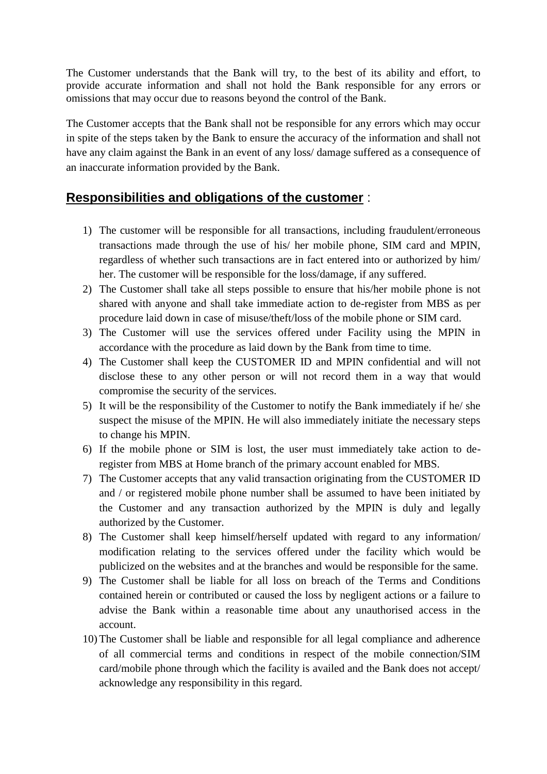The Customer understands that the Bank will try, to the best of its ability and effort, to provide accurate information and shall not hold the Bank responsible for any errors or omissions that may occur due to reasons beyond the control of the Bank.

The Customer accepts that the Bank shall not be responsible for any errors which may occur in spite of the steps taken by the Bank to ensure the accuracy of the information and shall not have any claim against the Bank in an event of any loss/ damage suffered as a consequence of an inaccurate information provided by the Bank.

## **Responsibilities and obligations of the customer** :

- 1) The customer will be responsible for all transactions, including fraudulent/erroneous transactions made through the use of his/ her mobile phone, SIM card and MPIN, regardless of whether such transactions are in fact entered into or authorized by him/ her. The customer will be responsible for the loss/damage, if any suffered.
- 2) The Customer shall take all steps possible to ensure that his/her mobile phone is not shared with anyone and shall take immediate action to de-register from MBS as per procedure laid down in case of misuse/theft/loss of the mobile phone or SIM card.
- 3) The Customer will use the services offered under Facility using the MPIN in accordance with the procedure as laid down by the Bank from time to time.
- 4) The Customer shall keep the CUSTOMER ID and MPIN confidential and will not disclose these to any other person or will not record them in a way that would compromise the security of the services.
- 5) It will be the responsibility of the Customer to notify the Bank immediately if he/ she suspect the misuse of the MPIN. He will also immediately initiate the necessary steps to change his MPIN.
- 6) If the mobile phone or SIM is lost, the user must immediately take action to deregister from MBS at Home branch of the primary account enabled for MBS.
- 7) The Customer accepts that any valid transaction originating from the CUSTOMER ID and / or registered mobile phone number shall be assumed to have been initiated by the Customer and any transaction authorized by the MPIN is duly and legally authorized by the Customer.
- 8) The Customer shall keep himself/herself updated with regard to any information/ modification relating to the services offered under the facility which would be publicized on the websites and at the branches and would be responsible for the same.
- 9) The Customer shall be liable for all loss on breach of the Terms and Conditions contained herein or contributed or caused the loss by negligent actions or a failure to advise the Bank within a reasonable time about any unauthorised access in the account.
- 10) The Customer shall be liable and responsible for all legal compliance and adherence of all commercial terms and conditions in respect of the mobile connection/SIM card/mobile phone through which the facility is availed and the Bank does not accept/ acknowledge any responsibility in this regard.